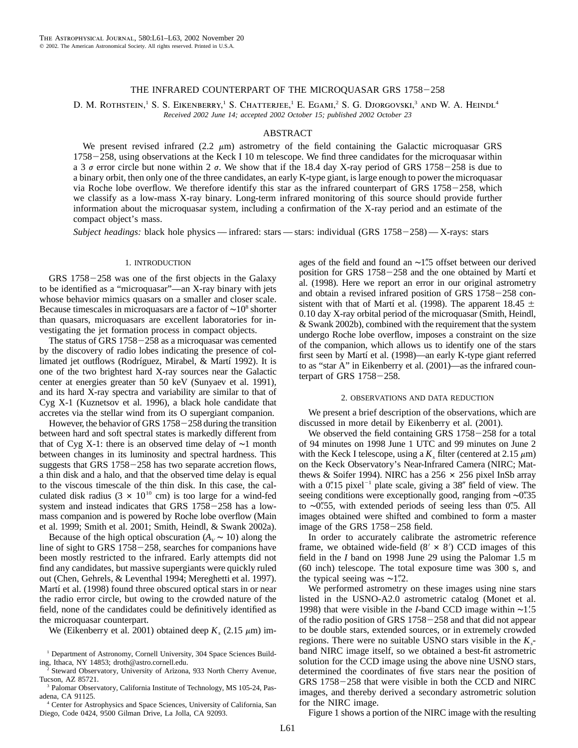# THE INFRARED COUNTERPART OF THE MICROOUASAR GRS 1758-258

D. M. ROTHSTEIN,<sup>1</sup> S. S. EIKENBERRY,<sup>1</sup> S. CHATTERJEE,<sup>1</sup> E. EGAMI,<sup>2</sup> S. G. DJORGOVSKI,<sup>3</sup> AND W. A. HEINDL<sup>4</sup> *Received 2002 June 14; accepted 2002 October 15; published 2002 October 23*

## ABSTRACT

We present revised infrared (2.2  $\mu$ m) astrometry of the field containing the Galactic microquasar GRS  $1758 - 258$ , using observations at the Keck I 10 m telescope. We find three candidates for the microquasar within a 3  $\sigma$  error circle but none within 2  $\sigma$ . We show that if the 18.4 day X-ray period of GRS 1758-258 is due to a binary orbit, then only one of the three candidates, an early K-type giant, is large enough to power the microquasar via Roche lobe overflow. We therefore identify this star as the infrared counterpart of GRS  $1758-258$ , which we classify as a low-mass X-ray binary. Long-term infrared monitoring of this source should provide further information about the microquasar system, including a confirmation of the X-ray period and an estimate of the compact object's mass.

*Subject headings:* black hole physics — infrared: stars — stars: individual (GRS 1758-258) — X-rays: stars

### 1. INTRODUCTION

 $GRS$  1758–258 was one of the first objects in the Galaxy to be identified as a "microquasar"—an X-ray binary with jets whose behavior mimics quasars on a smaller and closer scale. Because timescales in microquasars are a factor of ∼10<sup>8</sup> shorter than quasars, microquasars are excellent laboratories for investigating the jet formation process in compact objects.

The status of GRS  $1758-258$  as a microquasar was cemented by the discovery of radio lobes indicating the presence of collimated jet outflows (Rodríguez, Mirabel, & Martí 1992). It is one of the two brightest hard X-ray sources near the Galactic center at energies greater than 50 keV (Sunyaev et al. 1991), and its hard X-ray spectra and variability are similar to that of Cyg X-1 (Kuznetsov et al. 1996), a black hole candidate that accretes via the stellar wind from its O supergiant companion.

However, the behavior of GRS  $1758-258$  during the transition between hard and soft spectral states is markedly different from that of Cyg X-1: there is an observed time delay of ∼1 month between changes in its luminosity and spectral hardness. This suggests that GRS  $1758-258$  has two separate accretion flows, a thin disk and a halo, and that the observed time delay is equal to the viscous timescale of the thin disk. In this case, the calculated disk radius  $(3 \times 10^{10} \text{ cm})$  is too large for a wind-fed system and instead indicates that GRS  $1758-258$  has a lowmass companion and is powered by Roche lobe overflow (Main et al. 1999; Smith et al. 2001; Smith, Heindl, & Swank 2002a).

Because of the high optical obscuration  $(A_v \sim 10)$  along the line of sight to GRS  $1758-258$ , searches for companions have been mostly restricted to the infrared. Early attempts did not find any candidates, but massive supergiants were quickly ruled out (Chen, Gehrels, & Leventhal 1994; Mereghetti et al. 1997). Martí et al. (1998) found three obscured optical stars in or near the radio error circle, but owing to the crowded nature of the field, none of the candidates could be definitively identified as the microquasar counterpart.

We (Eikenberry et al. 2001) obtained deep  $K_8$  (2.15  $\mu$ m) im-

<sup>3</sup> Palomar Observatory, California Institute of Technology, MS 105-24, Pasadena, CA 91125.

<sup>4</sup> Center for Astrophysics and Space Sciences, University of California, San Diego, Code 0424, 9500 Gilman Drive, La Jolla, CA 92093.

ages of the field and found an ∼1.5 offset between our derived position for GRS  $1758-258$  and the one obtained by Martí et al. (1998). Here we report an error in our original astrometry and obtain a revised infrared position of GRS  $1758-258$  consistent with that of Martí et al. (1998). The apparent 18.45  $\pm$ 0.10 day X-ray orbital period of the microquasar (Smith, Heindl, & Swank 2002b), combined with the requirement that the system undergo Roche lobe overflow, imposes a constraint on the size of the companion, which allows us to identify one of the stars first seen by Martí et al. (1998)—an early K-type giant referred to as "star A" in Eikenberry et al. (2001)—as the infrared counterpart of GRS  $1758-258$ .

### 2. OBSERVATIONS AND DATA REDUCTION

We present a brief description of the observations, which are discussed in more detail by Eikenberry et al. (2001).

We observed the field containing GRS  $1758-258$  for a total of 94 minutes on 1998 June 1 UTC and 99 minutes on June 2 with the Keck I telescope, using a  $K_s$  filter (centered at 2.15  $\mu$ m) on the Keck Observatory's Near-Infrared Camera (NIRC; Matthews & Soifer 1994). NIRC has a 256  $\times$  256 pixel InSb array with a  $0''15$  pixel<sup>-1</sup> plate scale, giving a 38" field of view. The seeing conditions were exceptionally good, ranging from ∼0. 35 to ∼0".55, with extended periods of seeing less than 0".5. All images obtained were shifted and combined to form a master image of the GRS  $1758-258$  field.

In order to accurately calibrate the astrometric reference frame, we obtained wide-field  $(8' \times 8')$  CCD images of this field in the *I* band on 1998 June 29 using the Palomar 1.5 m (60 inch) telescope. The total exposure time was 300 s, and the typical seeing was  $\sim$ 1".2.

We performed astrometry on these images using nine stars listed in the USNO-A2.0 astrometric catalog (Monet et al. 1998) that were visible in the *I*-band CCD image within ∼1.5 of the radio position of GRS  $1758-258$  and that did not appear to be double stars, extended sources, or in extremely crowded regions. There were no suitable USNO stars visible in the  $K<sub>s</sub>$ band NIRC image itself, so we obtained a best-fit astrometric solution for the CCD image using the above nine USNO stars, determined the coordinates of five stars near the position of  $GRS$  1758 $-258$  that were visible in both the CCD and NIRC images, and thereby derived a secondary astrometric solution for the NIRC image.

Figure 1 shows a portion of the NIRC image with the resulting

<sup>&</sup>lt;sup>1</sup> Department of Astronomy, Cornell University, 304 Space Sciences Building, Ithaca, NY 14853; droth@astro.cornell.edu.

<sup>&</sup>lt;sup>2</sup> Steward Observatory, University of Arizona, 933 North Cherry Avenue, Tucson, AZ 85721.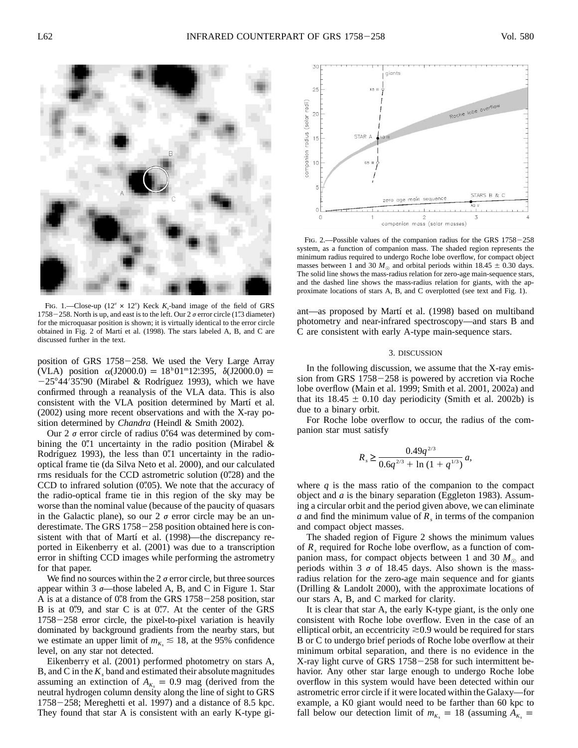

FIG. 1.—Close-up  $(12'' \times 12'')$  Keck  $K_s$ -band image of the field of GRS  $1758 - 258$ . North is up, and east is to the left. Our 2  $\sigma$  error circle (1.3 diameter) for the microquasar position is shown; it is virtually identical to the error circle obtained in Fig. 2 of Martí et al. (1998). The stars labeled A, B, and C are discussed further in the text.

position of GRS  $1758-258$ . We used the Very Large Array (VLA) position  $\alpha$ (J2000.0) = 18<sup>h</sup> 01<sup>m</sup>12.395,  $\delta$ (J2000.0) =  $-25^{\circ}44'35''90$  (Mirabel & Rodríguez 1993), which we have confirmed through a reanalysis of the VLA data. This is also consistent with the VLA position determined by Martí et al. (2002) using more recent observations and with the X-ray position determined by *Chandra* (Heindl & Smith 2002).

Our 2  $\sigma$  error circle of radius 0.64 was determined by combining the 0.'' uncertainty in the radio position (Mirabel  $\&$ Rodríguez 1993), the less than 0.1 uncertainty in the radiooptical frame tie (da Silva Neto et al. 2000), and our calculated rms residuals for the CCD astrometric solution  $(0.28)$  and the CCD to infrared solution  $(0\rlap.{''}05)$ . We note that the accuracy of the radio-optical frame tie in this region of the sky may be worse than the nominal value (because of the paucity of quasars in the Galactic plane), so our  $2 \sigma$  error circle may be an underestimate. The GRS  $1758-258$  position obtained here is consistent with that of Martí et al. (1998)—the discrepancy reported in Eikenberry et al. (2001) was due to a transcription error in shifting CCD images while performing the astrometry for that paper.

We find no sources within the  $2 \sigma$  error circle, but three sources appear within 3  $\sigma$ —those labeled A, B, and C in Figure 1. Star A is at a distance of  $0\rlap{.}^{\prime\prime}8$  from the GRS 1758 $-258$  position, star B is at 0.9, and star C is at 0.7. At the center of the GRS  $1758-258$  error circle, the pixel-to-pixel variation is heavily dominated by background gradients from the nearby stars, but we estimate an upper limit of  $m_{K_s} \leq 18$ , at the 95% confidence level, on any star not detected.

Eikenberry et al. (2001) performed photometry on stars A, B, and C in the  $K_s$  band and estimated their absolute magnitudes assuming an extinction of  $A_{K_s} = 0.9$  mag (derived from the neutral hydrogen column density along the line of sight to GRS  $1758-258$ ; Mereghetti et al. 1997) and a distance of 8.5 kpc. They found that star A is consistent with an early K-type gi-



FIG. 2.—Possible values of the companion radius for the GRS  $1758-258$ system, as a function of companion mass. The shaded region represents the minimum radius required to undergo Roche lobe overflow, for compact object masses between 1 and 30  $M_{\odot}$  and orbital periods within 18.45  $\pm$  0.30 days. The solid line shows the mass-radius relation for zero-age main-sequence stars, and the dashed line shows the mass-radius relation for giants, with the approximate locations of stars A, B, and C overplotted (see text and Fig. 1).

ant—as proposed by Martí et al. (1998) based on multiband photometry and near-infrared spectroscopy—and stars B and C are consistent with early A-type main-sequence stars.

### 3. DISCUSSION

In the following discussion, we assume that the X-ray emission from GRS  $1758-258$  is powered by accretion via Roche lobe overflow (Main et al. 1999; Smith et al. 2001, 2002a) and that its  $18.45 \pm 0.10$  day periodicity (Smith et al. 2002b) is due to a binary orbit.

For Roche lobe overflow to occur, the radius of the companion star must satisfy

$$
R_s \ge \frac{0.49q^{2/3}}{0.6q^{2/3} + \ln\left(1 + q^{1/3}\right)} a,
$$

where  $q$  is the mass ratio of the companion to the compact object and *a* is the binary separation (Eggleton 1983). Assuming a circular orbit and the period given above, we can eliminate *a* and find the minimum value of  $R<sub>s</sub>$  in terms of the companion and compact object masses.

The shaded region of Figure 2 shows the minimum values of R<sub>s</sub> required for Roche lobe overflow, as a function of companion mass, for compact objects between 1 and 30  $M_{\odot}$  and periods within 3  $\sigma$  of 18.45 days. Also shown is the massradius relation for the zero-age main sequence and for giants (Drilling & Landolt 2000), with the approximate locations of our stars A, B, and C marked for clarity.

It is clear that star A, the early K-type giant, is the only one consistent with Roche lobe overflow. Even in the case of an elliptical orbit, an eccentricity  $\geq 0.9$  would be required for stars B or C to undergo brief periods of Roche lobe overflow at their minimum orbital separation, and there is no evidence in the X-ray light curve of GRS  $1758-258$  for such intermittent behavior. Any other star large enough to undergo Roche lobe overflow in this system would have been detected within our astrometric error circle if it were located within the Galaxy—for example, a K0 giant would need to be farther than 60 kpc to fall below our detection limit of  $m_{K_s} = 18$  (assuming  $A_{K_s} =$